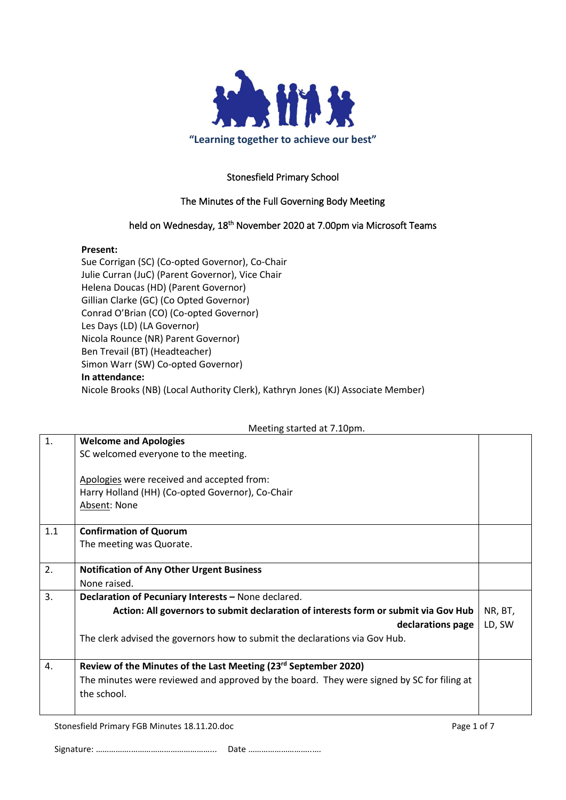

### Stonesfield Primary School

#### The Minutes of the Full Governing Body Meeting

#### held on Wednesday, 18<sup>th</sup> November 2020 at 7.00pm via Microsoft Teams

#### **Present:**

Sue Corrigan (SC) (Co-opted Governor), Co-Chair Julie Curran (JuC) (Parent Governor), Vice Chair Helena Doucas (HD) (Parent Governor) Gillian Clarke (GC) (Co Opted Governor) Conrad O'Brian (CO) (Co-opted Governor) Les Days (LD) (LA Governor) Nicola Rounce (NR) Parent Governor) Ben Trevail (BT) (Headteacher) Simon Warr (SW) Co-opted Governor) **In attendance:** Nicole Brooks (NB) (Local Authority Clerk), Kathryn Jones (KJ) Associate Member)

# 1. **Welcome and Apologies** SC welcomed everyone to the meeting. Apologies were received and accepted from: Harry Holland (HH) (Co-opted Governor), Co-Chair Absent: None 1.1 **Confirmation of Quorum** The meeting was Quorate. 2. **Notification of Any Other Urgent Business** None raised. 3. **Declaration of Pecuniary Interests –** None declared. **Action: All governors to submit declaration of interests form or submit via Gov Hub declarations page** The clerk advised the governors how to submit the declarations via Gov Hub. NR, BT, LD, SW 4. **Review of the Minutes of the Last Meeting (23rd September 2020)** The minutes were reviewed and approved by the board. They were signed by SC for filing at the school.

Stonesfield Primary FGB Minutes 18.11.20.doc **Page 1 of 7** and 2011 12:00 and 2012 12:00 Page 1 of 7

Signature: …………….………………………………... Date ………………………..….

Meeting started at 7.10pm.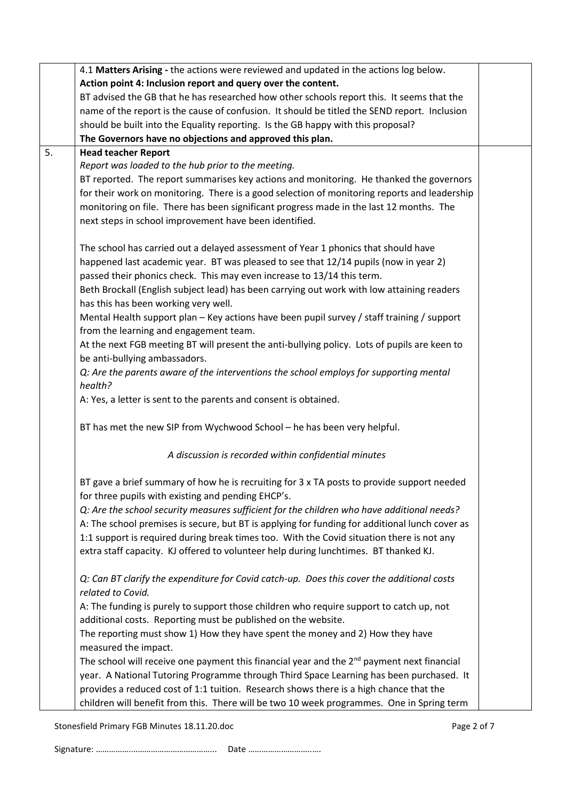|         | 4.1 Matters Arising - the actions were reviewed and updated in the actions log below.                  |  |  |  |  |  |
|---------|--------------------------------------------------------------------------------------------------------|--|--|--|--|--|
|         | Action point 4: Inclusion report and query over the content.                                           |  |  |  |  |  |
|         | BT advised the GB that he has researched how other schools report this. It seems that the              |  |  |  |  |  |
|         | name of the report is the cause of confusion. It should be titled the SEND report. Inclusion           |  |  |  |  |  |
|         | should be built into the Equality reporting. Is the GB happy with this proposal?                       |  |  |  |  |  |
|         | The Governors have no objections and approved this plan.                                               |  |  |  |  |  |
| 5.      | <b>Head teacher Report</b>                                                                             |  |  |  |  |  |
|         | Report was loaded to the hub prior to the meeting.                                                     |  |  |  |  |  |
|         | BT reported. The report summarises key actions and monitoring. He thanked the governors                |  |  |  |  |  |
|         | for their work on monitoring. There is a good selection of monitoring reports and leadership           |  |  |  |  |  |
|         | monitoring on file. There has been significant progress made in the last 12 months. The                |  |  |  |  |  |
|         | next steps in school improvement have been identified.                                                 |  |  |  |  |  |
|         | The school has carried out a delayed assessment of Year 1 phonics that should have                     |  |  |  |  |  |
|         | happened last academic year. BT was pleased to see that 12/14 pupils (now in year 2)                   |  |  |  |  |  |
|         | passed their phonics check. This may even increase to 13/14 this term.                                 |  |  |  |  |  |
|         | Beth Brockall (English subject lead) has been carrying out work with low attaining readers             |  |  |  |  |  |
|         | has this has been working very well.                                                                   |  |  |  |  |  |
|         | Mental Health support plan - Key actions have been pupil survey / staff training / support             |  |  |  |  |  |
|         | from the learning and engagement team.                                                                 |  |  |  |  |  |
|         | At the next FGB meeting BT will present the anti-bullying policy. Lots of pupils are keen to           |  |  |  |  |  |
|         | be anti-bullying ambassadors.                                                                          |  |  |  |  |  |
|         | Q: Are the parents aware of the interventions the school employs for supporting mental                 |  |  |  |  |  |
| health? |                                                                                                        |  |  |  |  |  |
|         | A: Yes, a letter is sent to the parents and consent is obtained.                                       |  |  |  |  |  |
|         | BT has met the new SIP from Wychwood School - he has been very helpful.                                |  |  |  |  |  |
|         | A discussion is recorded within confidential minutes                                                   |  |  |  |  |  |
|         | BT gave a brief summary of how he is recruiting for 3 x TA posts to provide support needed             |  |  |  |  |  |
|         | for three pupils with existing and pending EHCP's.                                                     |  |  |  |  |  |
|         | Q: Are the school security measures sufficient for the children who have additional needs?             |  |  |  |  |  |
|         | A: The school premises is secure, but BT is applying for funding for additional lunch cover as         |  |  |  |  |  |
|         | 1:1 support is required during break times too. With the Covid situation there is not any              |  |  |  |  |  |
|         | extra staff capacity. KJ offered to volunteer help during lunchtimes. BT thanked KJ.                   |  |  |  |  |  |
|         | Q: Can BT clarify the expenditure for Covid catch-up. Does this cover the additional costs             |  |  |  |  |  |
|         | related to Covid.                                                                                      |  |  |  |  |  |
|         | A: The funding is purely to support those children who require support to catch up, not                |  |  |  |  |  |
|         | additional costs. Reporting must be published on the website.                                          |  |  |  |  |  |
|         | The reporting must show 1) How they have spent the money and 2) How they have                          |  |  |  |  |  |
|         | measured the impact.                                                                                   |  |  |  |  |  |
|         | The school will receive one payment this financial year and the 2 <sup>nd</sup> payment next financial |  |  |  |  |  |
|         | year. A National Tutoring Programme through Third Space Learning has been purchased. It                |  |  |  |  |  |
|         | provides a reduced cost of 1:1 tuition. Research shows there is a high chance that the                 |  |  |  |  |  |
|         | children will benefit from this. There will be two 10 week programmes. One in Spring term              |  |  |  |  |  |

Stonesfield Primary FGB Minutes 18.11.20.doc example 2 of 7

Signature: …………….………………………………... Date ………………………..….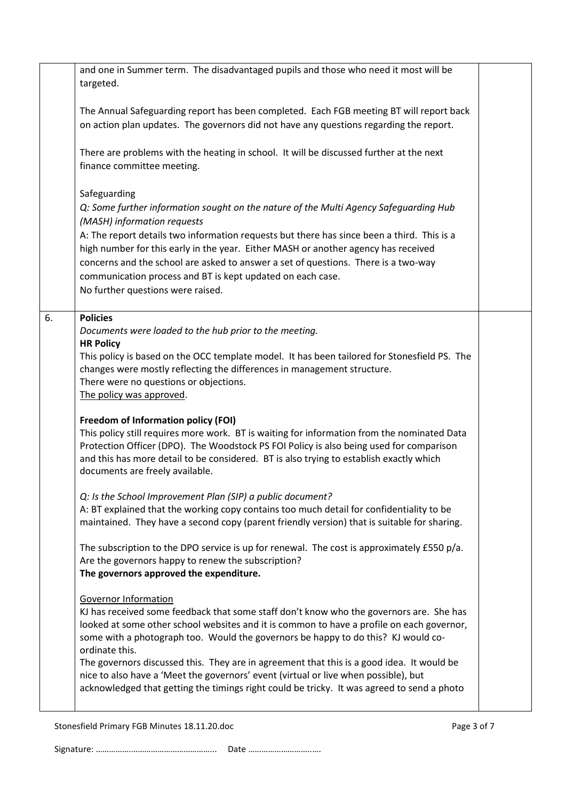|    | and one in Summer term. The disadvantaged pupils and those who need it most will be<br>targeted.                                                                                                                                                                                                                                                                                                                                                                                                                  |  |
|----|-------------------------------------------------------------------------------------------------------------------------------------------------------------------------------------------------------------------------------------------------------------------------------------------------------------------------------------------------------------------------------------------------------------------------------------------------------------------------------------------------------------------|--|
|    | The Annual Safeguarding report has been completed. Each FGB meeting BT will report back<br>on action plan updates. The governors did not have any questions regarding the report.                                                                                                                                                                                                                                                                                                                                 |  |
|    | There are problems with the heating in school. It will be discussed further at the next<br>finance committee meeting.                                                                                                                                                                                                                                                                                                                                                                                             |  |
|    | Safeguarding<br>Q: Some further information sought on the nature of the Multi Agency Safeguarding Hub<br>(MASH) information requests<br>A: The report details two information requests but there has since been a third. This is a<br>high number for this early in the year. Either MASH or another agency has received<br>concerns and the school are asked to answer a set of questions. There is a two-way<br>communication process and BT is kept updated on each case.<br>No further questions were raised. |  |
| 6. | <b>Policies</b><br>Documents were loaded to the hub prior to the meeting.<br><b>HR Policy</b><br>This policy is based on the OCC template model. It has been tailored for Stonesfield PS. The<br>changes were mostly reflecting the differences in management structure.<br>There were no questions or objections.<br>The policy was approved.                                                                                                                                                                    |  |
|    | <b>Freedom of Information policy (FOI)</b><br>This policy still requires more work. BT is waiting for information from the nominated Data<br>Protection Officer (DPO). The Woodstock PS FOI Policy is also being used for comparison<br>and this has more detail to be considered. BT is also trying to establish exactly which<br>documents are freely available.                                                                                                                                                |  |
|    | Q: Is the School Improvement Plan (SIP) a public document?<br>A: BT explained that the working copy contains too much detail for confidentiality to be<br>maintained. They have a second copy (parent friendly version) that is suitable for sharing.                                                                                                                                                                                                                                                             |  |
|    | The subscription to the DPO service is up for renewal. The cost is approximately £550 p/a.<br>Are the governors happy to renew the subscription?<br>The governors approved the expenditure.                                                                                                                                                                                                                                                                                                                       |  |
|    | <b>Governor Information</b><br>KJ has received some feedback that some staff don't know who the governors are. She has<br>looked at some other school websites and it is common to have a profile on each governor,<br>some with a photograph too. Would the governors be happy to do this? KJ would co-<br>ordinate this.                                                                                                                                                                                        |  |
|    | The governors discussed this. They are in agreement that this is a good idea. It would be<br>nice to also have a 'Meet the governors' event (virtual or live when possible), but<br>acknowledged that getting the timings right could be tricky. It was agreed to send a photo                                                                                                                                                                                                                                    |  |
|    |                                                                                                                                                                                                                                                                                                                                                                                                                                                                                                                   |  |

Stonesfield Primary FGB Minutes 18.11.20.doc example 3 of 7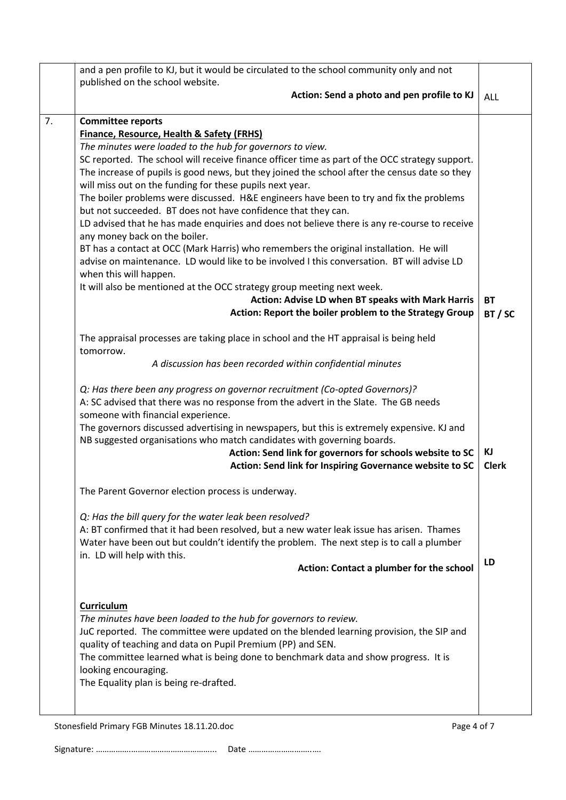|    | and a pen profile to KJ, but it would be circulated to the school community only and not       |              |
|----|------------------------------------------------------------------------------------------------|--------------|
|    | published on the school website.                                                               |              |
|    | Action: Send a photo and pen profile to KJ                                                     | <b>ALL</b>   |
| 7. | <b>Committee reports</b>                                                                       |              |
|    | <b>Finance, Resource, Health &amp; Safety (FRHS)</b>                                           |              |
|    | The minutes were loaded to the hub for governors to view.                                      |              |
|    | SC reported. The school will receive finance officer time as part of the OCC strategy support. |              |
|    | The increase of pupils is good news, but they joined the school after the census date so they  |              |
|    | will miss out on the funding for these pupils next year.                                       |              |
|    | The boiler problems were discussed. H&E engineers have been to try and fix the problems        |              |
|    | but not succeeded. BT does not have confidence that they can.                                  |              |
|    | LD advised that he has made enquiries and does not believe there is any re-course to receive   |              |
|    | any money back on the boiler.                                                                  |              |
|    | BT has a contact at OCC (Mark Harris) who remembers the original installation. He will         |              |
|    | advise on maintenance. LD would like to be involved I this conversation. BT will advise LD     |              |
|    | when this will happen.                                                                         |              |
|    | It will also be mentioned at the OCC strategy group meeting next week.                         |              |
|    | Action: Advise LD when BT speaks with Mark Harris                                              | <b>BT</b>    |
|    | Action: Report the boiler problem to the Strategy Group                                        | BT/SC        |
|    |                                                                                                |              |
|    | The appraisal processes are taking place in school and the HT appraisal is being held          |              |
|    | tomorrow.                                                                                      |              |
|    | A discussion has been recorded within confidential minutes                                     |              |
|    | Q: Has there been any progress on governor recruitment (Co-opted Governors)?                   |              |
|    | A: SC advised that there was no response from the advert in the Slate. The GB needs            |              |
|    | someone with financial experience.                                                             |              |
|    | The governors discussed advertising in newspapers, but this is extremely expensive. KJ and     |              |
|    | NB suggested organisations who match candidates with governing boards.                         |              |
|    | Action: Send link for governors for schools website to SC                                      | ΚJ           |
|    | Action: Send link for Inspiring Governance website to SC                                       | <b>Clerk</b> |
|    |                                                                                                |              |
|    | The Parent Governor election process is underway.                                              |              |
|    | Q: Has the bill query for the water leak been resolved?                                        |              |
|    | A: BT confirmed that it had been resolved, but a new water leak issue has arisen. Thames       |              |
|    | Water have been out but couldn't identify the problem. The next step is to call a plumber      |              |
|    | in. LD will help with this.                                                                    |              |
|    | Action: Contact a plumber for the school                                                       | LD           |
|    |                                                                                                |              |
|    | Curriculum                                                                                     |              |
|    | The minutes have been loaded to the hub for governors to review.                               |              |
|    | JuC reported. The committee were updated on the blended learning provision, the SIP and        |              |
|    | quality of teaching and data on Pupil Premium (PP) and SEN.                                    |              |
|    | The committee learned what is being done to benchmark data and show progress. It is            |              |
|    | looking encouraging.                                                                           |              |
|    | The Equality plan is being re-drafted.                                                         |              |
|    |                                                                                                |              |
|    |                                                                                                |              |
|    | Stonesfield Primary FGB Minutes 18.11.20.doc<br>Page 4 of 7                                    |              |

Signature: …………….………………………………... Date ………………………..….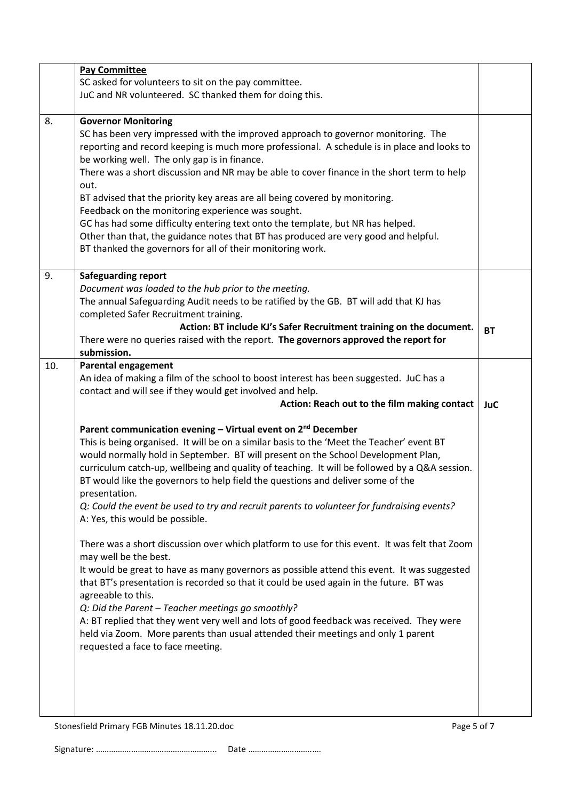|     | <b>Pay Committee</b>                                                                          |            |  |  |
|-----|-----------------------------------------------------------------------------------------------|------------|--|--|
|     | SC asked for volunteers to sit on the pay committee.                                          |            |  |  |
|     | JuC and NR volunteered. SC thanked them for doing this.                                       |            |  |  |
|     |                                                                                               |            |  |  |
| 8.  | <b>Governor Monitoring</b>                                                                    |            |  |  |
|     | SC has been very impressed with the improved approach to governor monitoring. The             |            |  |  |
|     | reporting and record keeping is much more professional. A schedule is in place and looks to   |            |  |  |
|     | be working well. The only gap is in finance.                                                  |            |  |  |
|     | There was a short discussion and NR may be able to cover finance in the short term to help    |            |  |  |
|     | out.                                                                                          |            |  |  |
|     | BT advised that the priority key areas are all being covered by monitoring.                   |            |  |  |
|     | Feedback on the monitoring experience was sought.                                             |            |  |  |
|     | GC has had some difficulty entering text onto the template, but NR has helped.                |            |  |  |
|     | Other than that, the guidance notes that BT has produced are very good and helpful.           |            |  |  |
|     | BT thanked the governors for all of their monitoring work.                                    |            |  |  |
|     |                                                                                               |            |  |  |
| 9.  | <b>Safeguarding report</b>                                                                    |            |  |  |
|     | Document was loaded to the hub prior to the meeting.                                          |            |  |  |
|     | The annual Safeguarding Audit needs to be ratified by the GB. BT will add that KJ has         |            |  |  |
|     | completed Safer Recruitment training.                                                         |            |  |  |
|     | Action: BT include KJ's Safer Recruitment training on the document.                           | <b>BT</b>  |  |  |
|     | There were no queries raised with the report. The governors approved the report for           |            |  |  |
|     | submission.                                                                                   |            |  |  |
| 10. | <b>Parental engagement</b>                                                                    |            |  |  |
|     | An idea of making a film of the school to boost interest has been suggested. JuC has a        |            |  |  |
|     | contact and will see if they would get involved and help.                                     |            |  |  |
|     | Action: Reach out to the film making contact                                                  | <b>JuC</b> |  |  |
|     |                                                                                               |            |  |  |
|     |                                                                                               |            |  |  |
|     | Parent communication evening - Virtual event on 2 <sup>nd</sup> December                      |            |  |  |
|     | This is being organised. It will be on a similar basis to the 'Meet the Teacher' event BT     |            |  |  |
|     | would normally hold in September. BT will present on the School Development Plan,             |            |  |  |
|     | curriculum catch-up, wellbeing and quality of teaching. It will be followed by a Q&A session. |            |  |  |
|     | BT would like the governors to help field the questions and deliver some of the               |            |  |  |
|     | presentation.                                                                                 |            |  |  |
|     | Q: Could the event be used to try and recruit parents to volunteer for fundraising events?    |            |  |  |
|     | A: Yes, this would be possible.                                                               |            |  |  |
|     |                                                                                               |            |  |  |
|     | There was a short discussion over which platform to use for this event. It was felt that Zoom |            |  |  |
|     | may well be the best.                                                                         |            |  |  |
|     | It would be great to have as many governors as possible attend this event. It was suggested   |            |  |  |
|     | that BT's presentation is recorded so that it could be used again in the future. BT was       |            |  |  |
|     | agreeable to this.                                                                            |            |  |  |
|     | Q: Did the Parent - Teacher meetings go smoothly?                                             |            |  |  |
|     | A: BT replied that they went very well and lots of good feedback was received. They were      |            |  |  |
|     | held via Zoom. More parents than usual attended their meetings and only 1 parent              |            |  |  |
|     | requested a face to face meeting.                                                             |            |  |  |
|     |                                                                                               |            |  |  |
|     |                                                                                               |            |  |  |
|     |                                                                                               |            |  |  |
|     |                                                                                               |            |  |  |
|     | Page 5 of 7<br>Stonesfield Primary FGB Minutes 18.11.20.doc                                   |            |  |  |

Signature: …………….………………………………... Date ………………………..….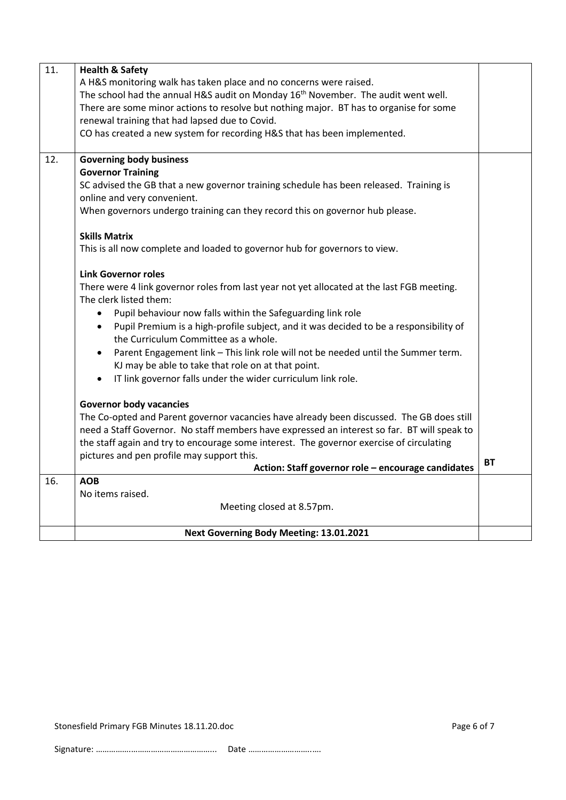| 11. | <b>Health &amp; Safety</b>                                                                    |           |  |  |  |  |
|-----|-----------------------------------------------------------------------------------------------|-----------|--|--|--|--|
|     | A H&S monitoring walk has taken place and no concerns were raised.                            |           |  |  |  |  |
|     | The school had the annual H&S audit on Monday 16 <sup>th</sup> November. The audit went well. |           |  |  |  |  |
|     | There are some minor actions to resolve but nothing major. BT has to organise for some        |           |  |  |  |  |
|     | renewal training that had lapsed due to Covid.                                                |           |  |  |  |  |
|     | CO has created a new system for recording H&S that has been implemented.                      |           |  |  |  |  |
|     |                                                                                               |           |  |  |  |  |
| 12. | <b>Governing body business</b>                                                                |           |  |  |  |  |
|     | <b>Governor Training</b>                                                                      |           |  |  |  |  |
|     | SC advised the GB that a new governor training schedule has been released. Training is        |           |  |  |  |  |
|     | online and very convenient.                                                                   |           |  |  |  |  |
|     | When governors undergo training can they record this on governor hub please.                  |           |  |  |  |  |
|     |                                                                                               |           |  |  |  |  |
|     | <b>Skills Matrix</b>                                                                          |           |  |  |  |  |
|     | This is all now complete and loaded to governor hub for governors to view.                    |           |  |  |  |  |
|     |                                                                                               |           |  |  |  |  |
|     | <b>Link Governor roles</b>                                                                    |           |  |  |  |  |
|     | There were 4 link governor roles from last year not yet allocated at the last FGB meeting.    |           |  |  |  |  |
|     | The clerk listed them:                                                                        |           |  |  |  |  |
|     | Pupil behaviour now falls within the Safeguarding link role                                   |           |  |  |  |  |
|     | Pupil Premium is a high-profile subject, and it was decided to be a responsibility of         |           |  |  |  |  |
|     | the Curriculum Committee as a whole.                                                          |           |  |  |  |  |
|     | Parent Engagement link - This link role will not be needed until the Summer term.             |           |  |  |  |  |
|     | KJ may be able to take that role on at that point.                                            |           |  |  |  |  |
|     | IT link governor falls under the wider curriculum link role.                                  |           |  |  |  |  |
|     |                                                                                               |           |  |  |  |  |
|     | <b>Governor body vacancies</b>                                                                |           |  |  |  |  |
|     | The Co-opted and Parent governor vacancies have already been discussed. The GB does still     |           |  |  |  |  |
|     | need a Staff Governor. No staff members have expressed an interest so far. BT will speak to   |           |  |  |  |  |
|     | the staff again and try to encourage some interest. The governor exercise of circulating      |           |  |  |  |  |
|     | pictures and pen profile may support this.                                                    |           |  |  |  |  |
|     | Action: Staff governor role - encourage candidates                                            | <b>BT</b> |  |  |  |  |
| 16. | <b>AOB</b>                                                                                    |           |  |  |  |  |
|     | No items raised.                                                                              |           |  |  |  |  |
|     | Meeting closed at 8.57pm.                                                                     |           |  |  |  |  |
|     |                                                                                               |           |  |  |  |  |
|     | Next Governing Body Meeting: 13.01.2021                                                       |           |  |  |  |  |